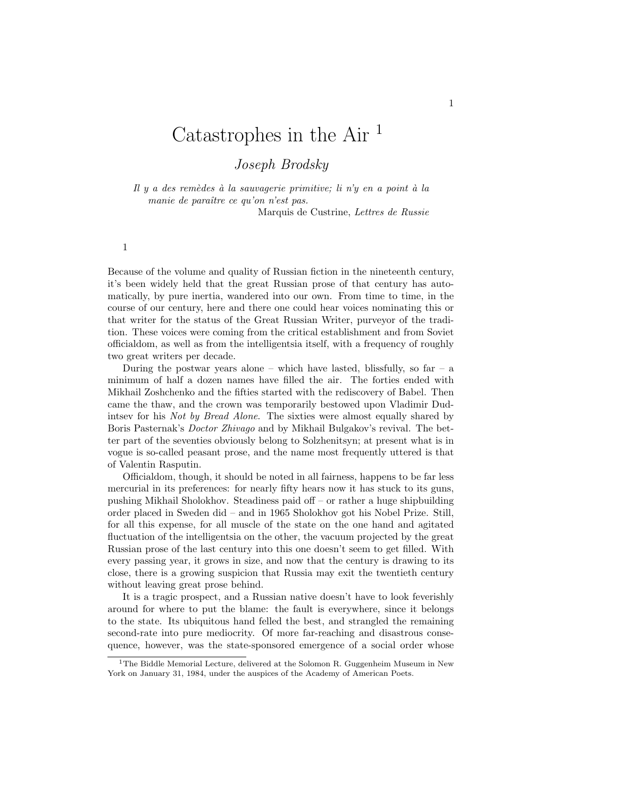## Catastrophes in the Air  $^1$

Joseph Brodsky

Il  $y$  a des remèdes à la sauvagerie primitive; li n' $y$  en a point à la manie de paraître ce qu'on n'est pas.

Marquis de Custrine, Lettres de Russie

1

Because of the volume and quality of Russian fiction in the nineteenth century, it's been widely held that the great Russian prose of that century has automatically, by pure inertia, wandered into our own. From time to time, in the course of our century, here and there one could hear voices nominating this or that writer for the status of the Great Russian Writer, purveyor of the tradition. These voices were coming from the critical establishment and from Soviet officialdom, as well as from the intelligentsia itself, with a frequency of roughly two great writers per decade.

During the postwar years alone – which have lasted, blissfully, so far – a minimum of half a dozen names have filled the air. The forties ended with Mikhail Zoshchenko and the fifties started with the rediscovery of Babel. Then came the thaw, and the crown was temporarily bestowed upon Vladimir Dudintsev for his *Not by Bread Alone*. The sixties were almost equally shared by Boris Pasternak's Doctor Zhivago and by Mikhail Bulgakov's revival. The better part of the seventies obviously belong to Solzhenitsyn; at present what is in vogue is so-called peasant prose, and the name most frequently uttered is that of Valentin Rasputin.

Officialdom, though, it should be noted in all fairness, happens to be far less mercurial in its preferences: for nearly fifty hears now it has stuck to its guns, pushing Mikhail Sholokhov. Steadiness paid off – or rather a huge shipbuilding order placed in Sweden did – and in 1965 Sholokhov got his Nobel Prize. Still, for all this expense, for all muscle of the state on the one hand and agitated fluctuation of the intelligentsia on the other, the vacuum projected by the great Russian prose of the last century into this one doesn't seem to get filled. With every passing year, it grows in size, and now that the century is drawing to its close, there is a growing suspicion that Russia may exit the twentieth century without leaving great prose behind.

It is a tragic prospect, and a Russian native doesn't have to look feverishly around for where to put the blame: the fault is everywhere, since it belongs to the state. Its ubiquitous hand felled the best, and strangled the remaining second-rate into pure mediocrity. Of more far-reaching and disastrous consequence, however, was the state-sponsored emergence of a social order whose

<sup>&</sup>lt;sup>1</sup>The Biddle Memorial Lecture, delivered at the Solomon R. Guggenheim Museum in New York on January 31, 1984, under the auspices of the Academy of American Poets.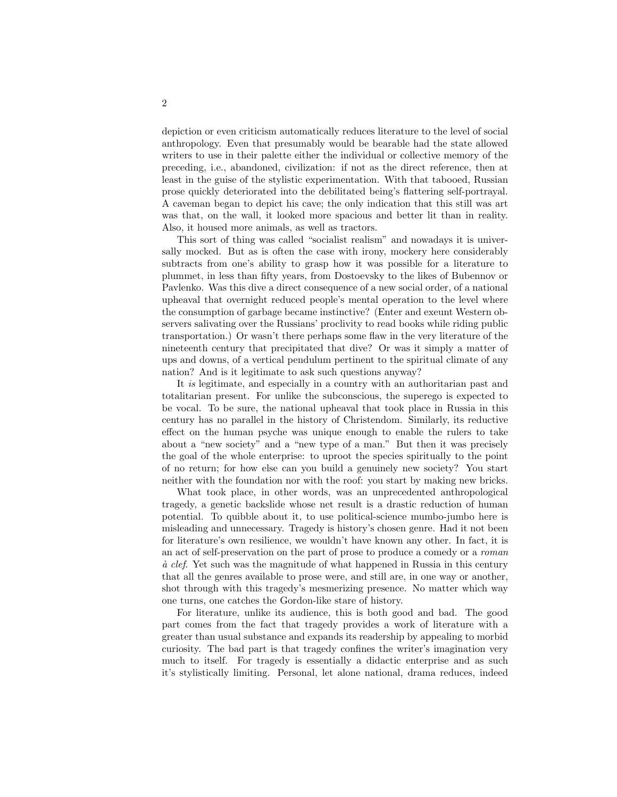depiction or even criticism automatically reduces literature to the level of social anthropology. Even that presumably would be bearable had the state allowed writers to use in their palette either the individual or collective memory of the preceding, i.e., abandoned, civilization: if not as the direct reference, then at least in the guise of the stylistic experimentation. With that tabooed, Russian prose quickly deteriorated into the debilitated being's flattering self-portrayal. A caveman began to depict his cave; the only indication that this still was art was that, on the wall, it looked more spacious and better lit than in reality. Also, it housed more animals, as well as tractors.

This sort of thing was called "socialist realism" and nowadays it is universally mocked. But as is often the case with irony, mockery here considerably subtracts from one's ability to grasp how it was possible for a literature to plummet, in less than fifty years, from Dostoevsky to the likes of Bubennov or Pavlenko. Was this dive a direct consequence of a new social order, of a national upheaval that overnight reduced people's mental operation to the level where the consumption of garbage became instinctive? (Enter and exeunt Western observers salivating over the Russians' proclivity to read books while riding public transportation.) Or wasn't there perhaps some flaw in the very literature of the nineteenth century that precipitated that dive? Or was it simply a matter of ups and downs, of a vertical pendulum pertinent to the spiritual climate of any nation? And is it legitimate to ask such questions anyway?

It is legitimate, and especially in a country with an authoritarian past and totalitarian present. For unlike the subconscious, the superego is expected to be vocal. To be sure, the national upheaval that took place in Russia in this century has no parallel in the history of Christendom. Similarly, its reductive effect on the human psyche was unique enough to enable the rulers to take about a "new society" and a "new type of a man." But then it was precisely the goal of the whole enterprise: to uproot the species spiritually to the point of no return; for how else can you build a genuinely new society? You start neither with the foundation nor with the roof: you start by making new bricks.

What took place, in other words, was an unprecedented anthropological tragedy, a genetic backslide whose net result is a drastic reduction of human potential. To quibble about it, to use political-science mumbo-jumbo here is misleading and unnecessary. Tragedy is history's chosen genre. Had it not been for literature's own resilience, we wouldn't have known any other. In fact, it is an act of self-preservation on the part of prose to produce a comedy or a roman  $\dot{a}$  clef. Yet such was the magnitude of what happened in Russia in this century that all the genres available to prose were, and still are, in one way or another, shot through with this tragedy's mesmerizing presence. No matter which way one turns, one catches the Gordon-like stare of history.

For literature, unlike its audience, this is both good and bad. The good part comes from the fact that tragedy provides a work of literature with a greater than usual substance and expands its readership by appealing to morbid curiosity. The bad part is that tragedy confines the writer's imagination very much to itself. For tragedy is essentially a didactic enterprise and as such it's stylistically limiting. Personal, let alone national, drama reduces, indeed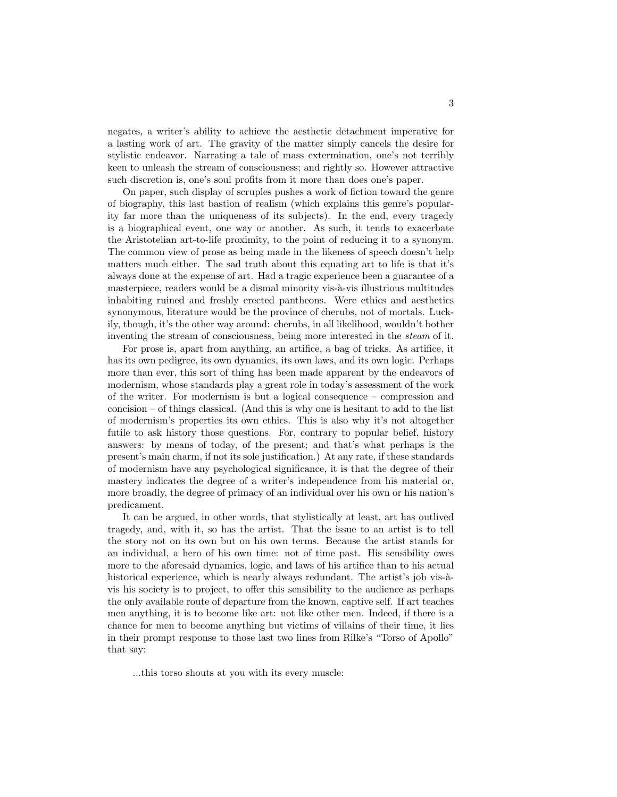negates, a writer's ability to achieve the aesthetic detachment imperative for a lasting work of art. The gravity of the matter simply cancels the desire for stylistic endeavor. Narrating a tale of mass extermination, one's not terribly keen to unleash the stream of consciousness; and rightly so. However attractive such discretion is, one's soul profits from it more than does one's paper.

On paper, such display of scruples pushes a work of fiction toward the genre of biography, this last bastion of realism (which explains this genre's popularity far more than the uniqueness of its subjects). In the end, every tragedy is a biographical event, one way or another. As such, it tends to exacerbate the Aristotelian art-to-life proximity, to the point of reducing it to a synonym. The common view of prose as being made in the likeness of speech doesn't help matters much either. The sad truth about this equating art to life is that it's always done at the expense of art. Had a tragic experience been a guarantee of a masterpiece, readers would be a dismal minority vis-à-vis illustrious multitudes inhabiting ruined and freshly erected pantheons. Were ethics and aesthetics synonymous, literature would be the province of cherubs, not of mortals. Luckily, though, it's the other way around: cherubs, in all likelihood, wouldn't bother inventing the stream of consciousness, being more interested in the steam of it.

For prose is, apart from anything, an artifice, a bag of tricks. As artifice, it has its own pedigree, its own dynamics, its own laws, and its own logic. Perhaps more than ever, this sort of thing has been made apparent by the endeavors of modernism, whose standards play a great role in today's assessment of the work of the writer. For modernism is but a logical consequence – compression and concision – of things classical. (And this is why one is hesitant to add to the list of modernism's properties its own ethics. This is also why it's not altogether futile to ask history those questions. For, contrary to popular belief, history answers: by means of today, of the present; and that's what perhaps is the present's main charm, if not its sole justification.) At any rate, if these standards of modernism have any psychological significance, it is that the degree of their mastery indicates the degree of a writer's independence from his material or, more broadly, the degree of primacy of an individual over his own or his nation's predicament.

It can be argued, in other words, that stylistically at least, art has outlived tragedy, and, with it, so has the artist. That the issue to an artist is to tell the story not on its own but on his own terms. Because the artist stands for an individual, a hero of his own time: not of time past. His sensibility owes more to the aforesaid dynamics, logic, and laws of his artifice than to his actual historical experience, which is nearly always redundant. The artist's job vis- $\hat{a}$ vis his society is to project, to offer this sensibility to the audience as perhaps the only available route of departure from the known, captive self. If art teaches men anything, it is to become like art: not like other men. Indeed, if there is a chance for men to become anything but victims of villains of their time, it lies in their prompt response to those last two lines from Rilke's "Torso of Apollo" that say:

...this torso shouts at you with its every muscle: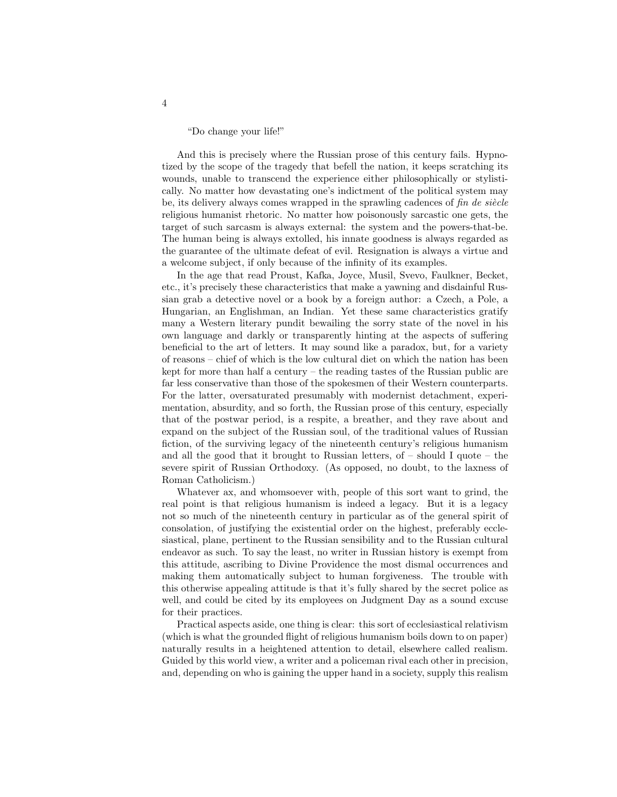## "Do change your life!"

And this is precisely where the Russian prose of this century fails. Hypnotized by the scope of the tragedy that befell the nation, it keeps scratching its wounds, unable to transcend the experience either philosophically or stylistically. No matter how devastating one's indictment of the political system may be, its delivery always comes wrapped in the sprawling cadences of  $\hat{f}$  *in de siècle* religious humanist rhetoric. No matter how poisonously sarcastic one gets, the target of such sarcasm is always external: the system and the powers-that-be. The human being is always extolled, his innate goodness is always regarded as the guarantee of the ultimate defeat of evil. Resignation is always a virtue and a welcome subject, if only because of the infinity of its examples.

In the age that read Proust, Kafka, Joyce, Musil, Svevo, Faulkner, Becket, etc., it's precisely these characteristics that make a yawning and disdainful Russian grab a detective novel or a book by a foreign author: a Czech, a Pole, a Hungarian, an Englishman, an Indian. Yet these same characteristics gratify many a Western literary pundit bewailing the sorry state of the novel in his own language and darkly or transparently hinting at the aspects of suffering beneficial to the art of letters. It may sound like a paradox, but, for a variety of reasons – chief of which is the low cultural diet on which the nation has been kept for more than half a century – the reading tastes of the Russian public are far less conservative than those of the spokesmen of their Western counterparts. For the latter, oversaturated presumably with modernist detachment, experimentation, absurdity, and so forth, the Russian prose of this century, especially that of the postwar period, is a respite, a breather, and they rave about and expand on the subject of the Russian soul, of the traditional values of Russian fiction, of the surviving legacy of the nineteenth century's religious humanism and all the good that it brought to Russian letters, of  $-$  should I quote  $-$  the severe spirit of Russian Orthodoxy. (As opposed, no doubt, to the laxness of Roman Catholicism.)

Whatever ax, and whomsoever with, people of this sort want to grind, the real point is that religious humanism is indeed a legacy. But it is a legacy not so much of the nineteenth century in particular as of the general spirit of consolation, of justifying the existential order on the highest, preferably ecclesiastical, plane, pertinent to the Russian sensibility and to the Russian cultural endeavor as such. To say the least, no writer in Russian history is exempt from this attitude, ascribing to Divine Providence the most dismal occurrences and making them automatically subject to human forgiveness. The trouble with this otherwise appealing attitude is that it's fully shared by the secret police as well, and could be cited by its employees on Judgment Day as a sound excuse for their practices.

Practical aspects aside, one thing is clear: this sort of ecclesiastical relativism (which is what the grounded flight of religious humanism boils down to on paper) naturally results in a heightened attention to detail, elsewhere called realism. Guided by this world view, a writer and a policeman rival each other in precision, and, depending on who is gaining the upper hand in a society, supply this realism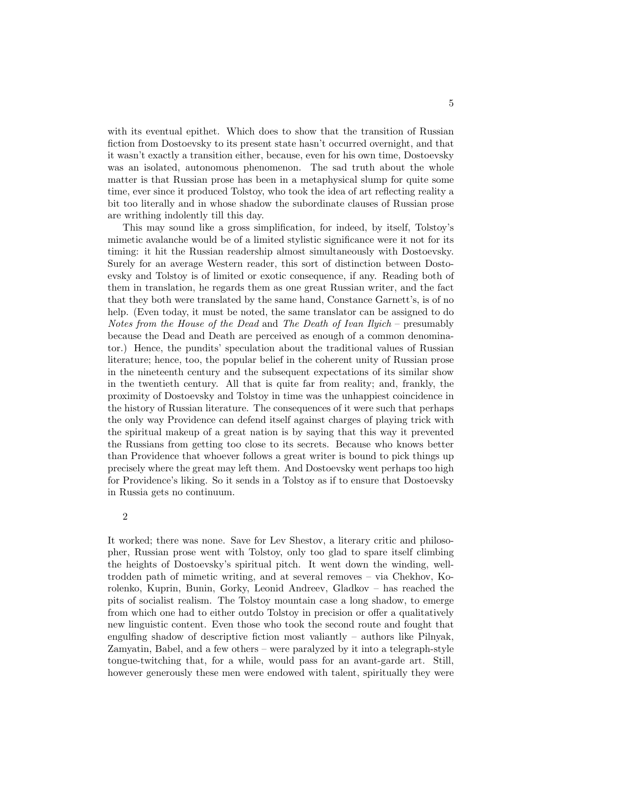with its eventual epithet. Which does to show that the transition of Russian fiction from Dostoevsky to its present state hasn't occurred overnight, and that it wasn't exactly a transition either, because, even for his own time, Dostoevsky was an isolated, autonomous phenomenon. The sad truth about the whole matter is that Russian prose has been in a metaphysical slump for quite some time, ever since it produced Tolstoy, who took the idea of art reflecting reality a bit too literally and in whose shadow the subordinate clauses of Russian prose are writhing indolently till this day.

This may sound like a gross simplification, for indeed, by itself, Tolstoy's mimetic avalanche would be of a limited stylistic significance were it not for its timing: it hit the Russian readership almost simultaneously with Dostoevsky. Surely for an average Western reader, this sort of distinction between Dostoevsky and Tolstoy is of limited or exotic consequence, if any. Reading both of them in translation, he regards them as one great Russian writer, and the fact that they both were translated by the same hand, Constance Garnett's, is of no help. (Even today, it must be noted, the same translator can be assigned to do Notes from the House of the Dead and The Death of Ivan Ilyich – presumably because the Dead and Death are perceived as enough of a common denominator.) Hence, the pundits' speculation about the traditional values of Russian literature; hence, too, the popular belief in the coherent unity of Russian prose in the nineteenth century and the subsequent expectations of its similar show in the twentieth century. All that is quite far from reality; and, frankly, the proximity of Dostoevsky and Tolstoy in time was the unhappiest coincidence in the history of Russian literature. The consequences of it were such that perhaps the only way Providence can defend itself against charges of playing trick with the spiritual makeup of a great nation is by saying that this way it prevented the Russians from getting too close to its secrets. Because who knows better than Providence that whoever follows a great writer is bound to pick things up precisely where the great may left them. And Dostoevsky went perhaps too high for Providence's liking. So it sends in a Tolstoy as if to ensure that Dostoevsky in Russia gets no continuum.

2

It worked; there was none. Save for Lev Shestov, a literary critic and philosopher, Russian prose went with Tolstoy, only too glad to spare itself climbing the heights of Dostoevsky's spiritual pitch. It went down the winding, welltrodden path of mimetic writing, and at several removes – via Chekhov, Korolenko, Kuprin, Bunin, Gorky, Leonid Andreev, Gladkov – has reached the pits of socialist realism. The Tolstoy mountain case a long shadow, to emerge from which one had to either outdo Tolstoy in precision or offer a qualitatively new linguistic content. Even those who took the second route and fought that engulfing shadow of descriptive fiction most valiantly – authors like Pilnyak, Zamyatin, Babel, and a few others – were paralyzed by it into a telegraph-style tongue-twitching that, for a while, would pass for an avant-garde art. Still, however generously these men were endowed with talent, spiritually they were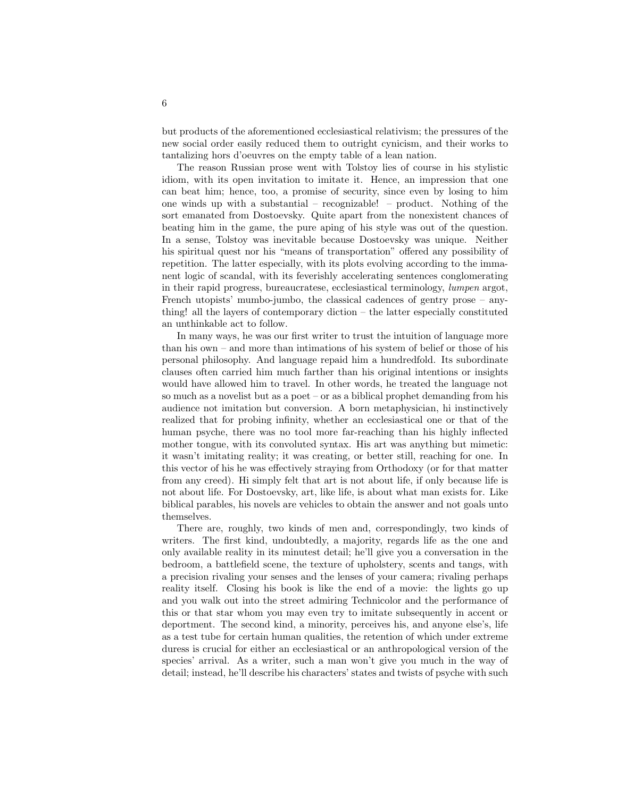but products of the aforementioned ecclesiastical relativism; the pressures of the new social order easily reduced them to outright cynicism, and their works to tantalizing hors d'oeuvres on the empty table of a lean nation.

The reason Russian prose went with Tolstoy lies of course in his stylistic idiom, with its open invitation to imitate it. Hence, an impression that one can beat him; hence, too, a promise of security, since even by losing to him one winds up with a substantial – recognizable! – product. Nothing of the sort emanated from Dostoevsky. Quite apart from the nonexistent chances of beating him in the game, the pure aping of his style was out of the question. In a sense, Tolstoy was inevitable because Dostoevsky was unique. Neither his spiritual quest nor his "means of transportation" offered any possibility of repetition. The latter especially, with its plots evolving according to the immanent logic of scandal, with its feverishly accelerating sentences conglomerating in their rapid progress, bureaucratese, ecclesiastical terminology, lumpen argot, French utopists' mumbo-jumbo, the classical cadences of gentry prose – anything! all the layers of contemporary diction – the latter especially constituted an unthinkable act to follow.

In many ways, he was our first writer to trust the intuition of language more than his own – and more than intimations of his system of belief or those of his personal philosophy. And language repaid him a hundredfold. Its subordinate clauses often carried him much farther than his original intentions or insights would have allowed him to travel. In other words, he treated the language not so much as a novelist but as a poet – or as a biblical prophet demanding from his audience not imitation but conversion. A born metaphysician, hi instinctively realized that for probing infinity, whether an ecclesiastical one or that of the human psyche, there was no tool more far-reaching than his highly inflected mother tongue, with its convoluted syntax. His art was anything but mimetic: it wasn't imitating reality; it was creating, or better still, reaching for one. In this vector of his he was effectively straying from Orthodoxy (or for that matter from any creed). Hi simply felt that art is not about life, if only because life is not about life. For Dostoevsky, art, like life, is about what man exists for. Like biblical parables, his novels are vehicles to obtain the answer and not goals unto themselves.

There are, roughly, two kinds of men and, correspondingly, two kinds of writers. The first kind, undoubtedly, a majority, regards life as the one and only available reality in its minutest detail; he'll give you a conversation in the bedroom, a battlefield scene, the texture of upholstery, scents and tangs, with a precision rivaling your senses and the lenses of your camera; rivaling perhaps reality itself. Closing his book is like the end of a movie: the lights go up and you walk out into the street admiring Technicolor and the performance of this or that star whom you may even try to imitate subsequently in accent or deportment. The second kind, a minority, perceives his, and anyone else's, life as a test tube for certain human qualities, the retention of which under extreme duress is crucial for either an ecclesiastical or an anthropological version of the species' arrival. As a writer, such a man won't give you much in the way of detail; instead, he'll describe his characters' states and twists of psyche with such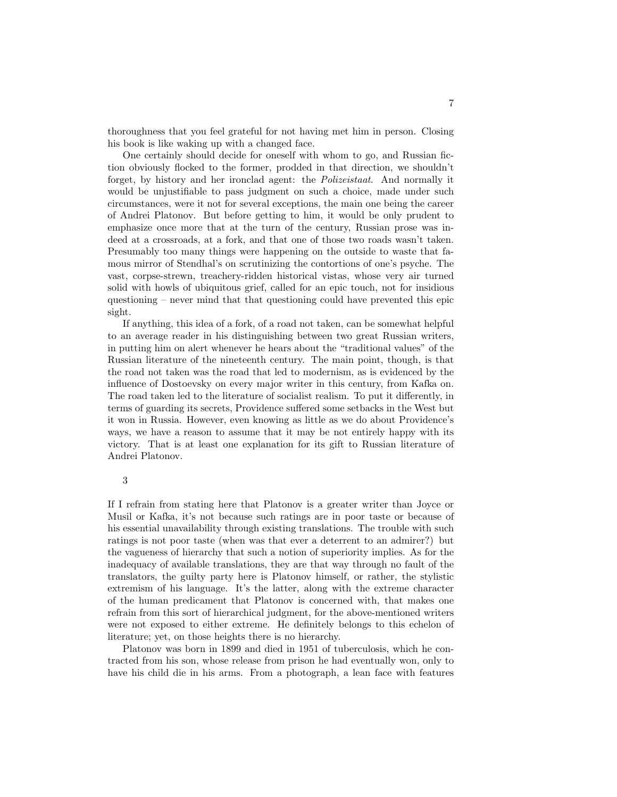thoroughness that you feel grateful for not having met him in person. Closing his book is like waking up with a changed face.

One certainly should decide for oneself with whom to go, and Russian fiction obviously flocked to the former, prodded in that direction, we shouldn't forget, by history and her ironclad agent: the Polizeistaat. And normally it would be unjustifiable to pass judgment on such a choice, made under such circumstances, were it not for several exceptions, the main one being the career of Andrei Platonov. But before getting to him, it would be only prudent to emphasize once more that at the turn of the century, Russian prose was indeed at a crossroads, at a fork, and that one of those two roads wasn't taken. Presumably too many things were happening on the outside to waste that famous mirror of Stendhal's on scrutinizing the contortions of one's psyche. The vast, corpse-strewn, treachery-ridden historical vistas, whose very air turned solid with howls of ubiquitous grief, called for an epic touch, not for insidious questioning – never mind that that questioning could have prevented this epic sight.

If anything, this idea of a fork, of a road not taken, can be somewhat helpful to an average reader in his distinguishing between two great Russian writers, in putting him on alert whenever he hears about the "traditional values" of the Russian literature of the nineteenth century. The main point, though, is that the road not taken was the road that led to modernism, as is evidenced by the influence of Dostoevsky on every major writer in this century, from Kafka on. The road taken led to the literature of socialist realism. To put it differently, in terms of guarding its secrets, Providence suffered some setbacks in the West but it won in Russia. However, even knowing as little as we do about Providence's ways, we have a reason to assume that it may be not entirely happy with its victory. That is at least one explanation for its gift to Russian literature of Andrei Platonov.

3

If I refrain from stating here that Platonov is a greater writer than Joyce or Musil or Kafka, it's not because such ratings are in poor taste or because of his essential unavailability through existing translations. The trouble with such ratings is not poor taste (when was that ever a deterrent to an admirer?) but the vagueness of hierarchy that such a notion of superiority implies. As for the inadequacy of available translations, they are that way through no fault of the translators, the guilty party here is Platonov himself, or rather, the stylistic extremism of his language. It's the latter, along with the extreme character of the human predicament that Platonov is concerned with, that makes one refrain from this sort of hierarchical judgment, for the above-mentioned writers were not exposed to either extreme. He definitely belongs to this echelon of literature; yet, on those heights there is no hierarchy.

Platonov was born in 1899 and died in 1951 of tuberculosis, which he contracted from his son, whose release from prison he had eventually won, only to have his child die in his arms. From a photograph, a lean face with features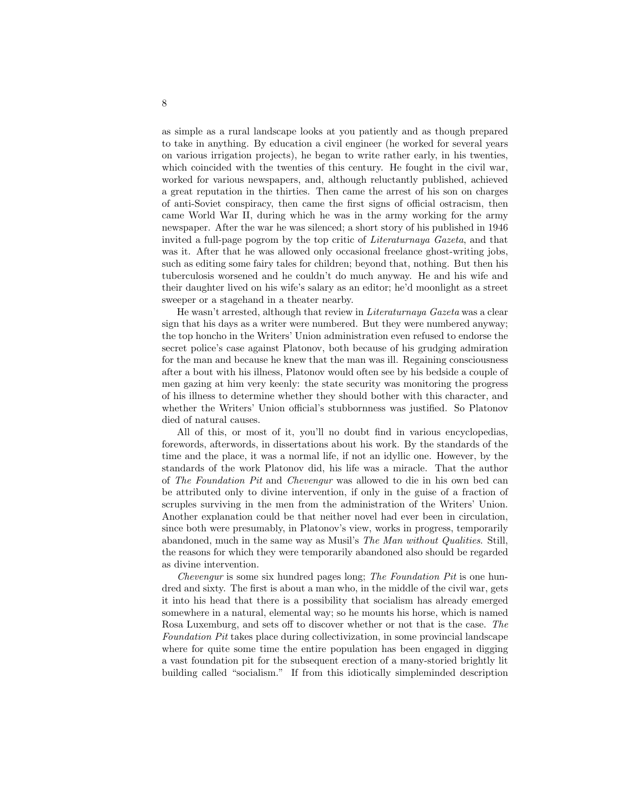as simple as a rural landscape looks at you patiently and as though prepared to take in anything. By education a civil engineer (he worked for several years on various irrigation projects), he began to write rather early, in his twenties, which coincided with the twenties of this century. He fought in the civil war, worked for various newspapers, and, although reluctantly published, achieved a great reputation in the thirties. Then came the arrest of his son on charges of anti-Soviet conspiracy, then came the first signs of official ostracism, then came World War II, during which he was in the army working for the army newspaper. After the war he was silenced; a short story of his published in 1946 invited a full-page pogrom by the top critic of Literaturnaya Gazeta, and that was it. After that he was allowed only occasional freelance ghost-writing jobs, such as editing some fairy tales for children; beyond that, nothing. But then his tuberculosis worsened and he couldn't do much anyway. He and his wife and their daughter lived on his wife's salary as an editor; he'd moonlight as a street sweeper or a stagehand in a theater nearby.

He wasn't arrested, although that review in Literaturnaya Gazeta was a clear sign that his days as a writer were numbered. But they were numbered anyway; the top honcho in the Writers' Union administration even refused to endorse the secret police's case against Platonov, both because of his grudging admiration for the man and because he knew that the man was ill. Regaining consciousness after a bout with his illness, Platonov would often see by his bedside a couple of men gazing at him very keenly: the state security was monitoring the progress of his illness to determine whether they should bother with this character, and whether the Writers' Union official's stubbornness was justified. So Platonov died of natural causes.

All of this, or most of it, you'll no doubt find in various encyclopedias, forewords, afterwords, in dissertations about his work. By the standards of the time and the place, it was a normal life, if not an idyllic one. However, by the standards of the work Platonov did, his life was a miracle. That the author of The Foundation Pit and Chevengur was allowed to die in his own bed can be attributed only to divine intervention, if only in the guise of a fraction of scruples surviving in the men from the administration of the Writers' Union. Another explanation could be that neither novel had ever been in circulation, since both were presumably, in Platonov's view, works in progress, temporarily abandoned, much in the same way as Musil's The Man without Qualities. Still, the reasons for which they were temporarily abandoned also should be regarded as divine intervention.

Chevengur is some six hundred pages long; The Foundation Pit is one hundred and sixty. The first is about a man who, in the middle of the civil war, gets it into his head that there is a possibility that socialism has already emerged somewhere in a natural, elemental way; so he mounts his horse, which is named Rosa Luxemburg, and sets off to discover whether or not that is the case. The Foundation Pit takes place during collectivization, in some provincial landscape where for quite some time the entire population has been engaged in digging a vast foundation pit for the subsequent erection of a many-storied brightly lit building called "socialism." If from this idiotically simpleminded description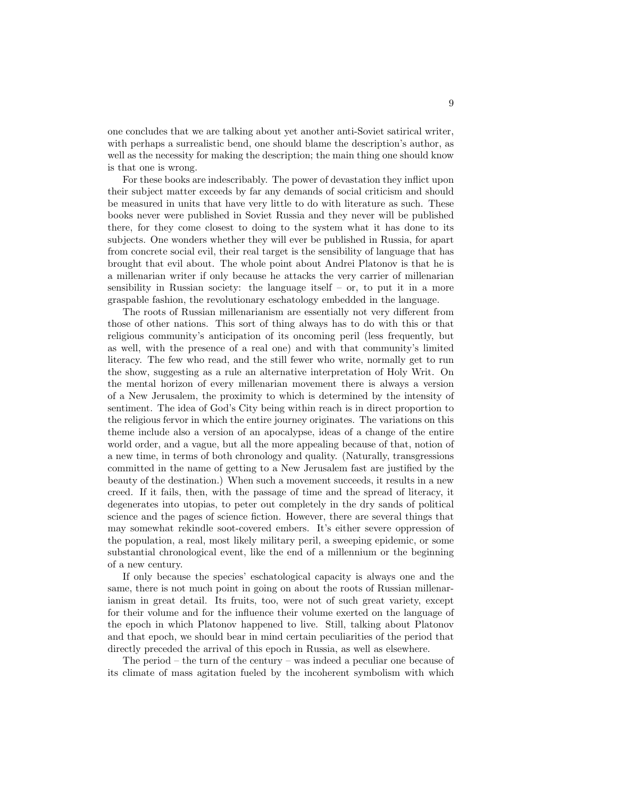one concludes that we are talking about yet another anti-Soviet satirical writer, with perhaps a surrealistic bend, one should blame the description's author, as well as the necessity for making the description; the main thing one should know is that one is wrong.

For these books are indescribably. The power of devastation they inflict upon their subject matter exceeds by far any demands of social criticism and should be measured in units that have very little to do with literature as such. These books never were published in Soviet Russia and they never will be published there, for they come closest to doing to the system what it has done to its subjects. One wonders whether they will ever be published in Russia, for apart from concrete social evil, their real target is the sensibility of language that has brought that evil about. The whole point about Andrei Platonov is that he is a millenarian writer if only because he attacks the very carrier of millenarian sensibility in Russian society: the language itself  $-$  or, to put it in a more graspable fashion, the revolutionary eschatology embedded in the language.

The roots of Russian millenarianism are essentially not very different from those of other nations. This sort of thing always has to do with this or that religious community's anticipation of its oncoming peril (less frequently, but as well, with the presence of a real one) and with that community's limited literacy. The few who read, and the still fewer who write, normally get to run the show, suggesting as a rule an alternative interpretation of Holy Writ. On the mental horizon of every millenarian movement there is always a version of a New Jerusalem, the proximity to which is determined by the intensity of sentiment. The idea of God's City being within reach is in direct proportion to the religious fervor in which the entire journey originates. The variations on this theme include also a version of an apocalypse, ideas of a change of the entire world order, and a vague, but all the more appealing because of that, notion of a new time, in terms of both chronology and quality. (Naturally, transgressions committed in the name of getting to a New Jerusalem fast are justified by the beauty of the destination.) When such a movement succeeds, it results in a new creed. If it fails, then, with the passage of time and the spread of literacy, it degenerates into utopias, to peter out completely in the dry sands of political science and the pages of science fiction. However, there are several things that may somewhat rekindle soot-covered embers. It's either severe oppression of the population, a real, most likely military peril, a sweeping epidemic, or some substantial chronological event, like the end of a millennium or the beginning of a new century.

If only because the species' eschatological capacity is always one and the same, there is not much point in going on about the roots of Russian millenarianism in great detail. Its fruits, too, were not of such great variety, except for their volume and for the influence their volume exerted on the language of the epoch in which Platonov happened to live. Still, talking about Platonov and that epoch, we should bear in mind certain peculiarities of the period that directly preceded the arrival of this epoch in Russia, as well as elsewhere.

The period – the turn of the century – was indeed a peculiar one because of its climate of mass agitation fueled by the incoherent symbolism with which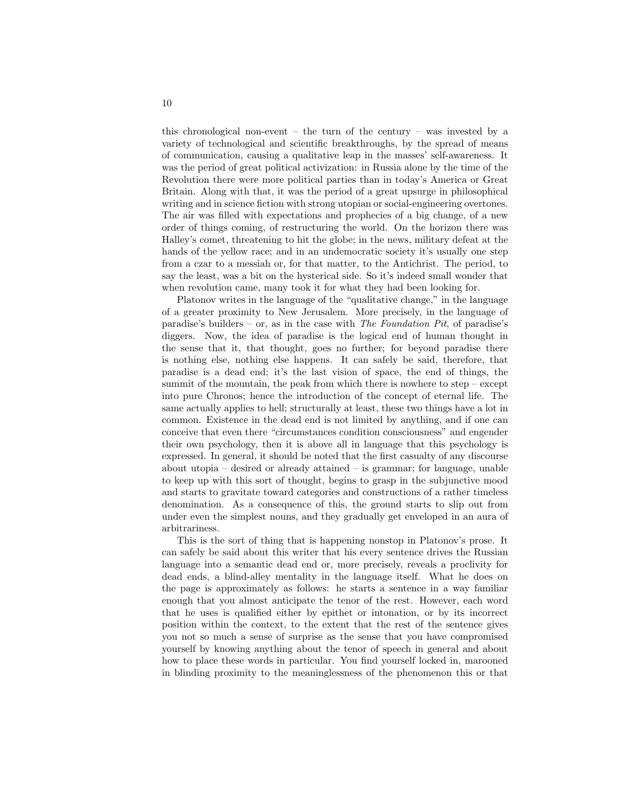this chronological non-event – the turn of the century – was invested by a variety of technological and scientific breakthroughs, by the spread of means of communication, causing a qualitative leap in the masses' self-awareness. It was the period of great political activization: in Russia alone by the time of the Revolution there were more political parties than in today's America or Great Britain. Along with that, it was the period of a great upsurge in philosophical writing and in science fiction with strong utopian or social-engineering overtones. The air was filled with expectations and prophecies of a big change, of a new order of things coming, of restructuring the world. On the horizon there was Halley's comet, threatening to hit the globe; in the news, military defeat at the hands of the yellow race; and in an undemocratic society it's usually one step from a czar to a messiah or, for that matter, to the Antichrist. The period, to say the least, was a bit on the hysterical side. So it's indeed small wonder that when revolution came, many took it for what they had been looking for.

Platonov writes in the language of the "qualitative change," in the language of a greater proximity to New Jerusalem. More precisely, in the language of paradise's builders – or, as in the case with *The Foundation Pit*, of paradise's diggers. Now, the idea of paradise is the logical end of human thought in the sense that it, that thought, goes no further; for beyond paradise there is nothing else, nothing else happens. It can safely be said, therefore, that paradise is a dead end; it's the last vision of space, the end of things, the summit of the mountain, the peak from which there is nowhere to step – except into pure Chronos; hence the introduction of the concept of eternal life. The same actually applies to hell; structurally at least, these two things have a lot in common. Existence in the dead end is not limited by anything, and if one can conceive that even there "circumstances condition consciousness" and engender their own psychology, then it is above all in language that this psychology is expressed. In general, it should be noted that the first casualty of any discourse about utopia – desired or already attained – is grammar; for language, unable to keep up with this sort of thought, begins to grasp in the subjunctive mood and starts to gravitate toward categories and constructions of a rather timeless denomination. As a consequence of this, the ground starts to slip out from under even the simplest nouns, and they gradually get enveloped in an aura of arbitrariness.

This is the sort of thing that is happening nonstop in Platonov's prose. It can safely be said about this writer that his every sentence drives the Russian language into a semantic dead end or, more precisely, reveals a proclivity for dead ends, a blind-alley mentality in the language itself. What he does on the page is approximately as follows: he starts a sentence in a way familiar enough that you almost anticipate the tenor of the rest. However, each word that he uses is qualified either by epithet or intonation, or by its incorrect position within the context, to the extent that the rest of the sentence gives you not so much a sense of surprise as the sense that you have compromised yourself by knowing anything about the tenor of speech in general and about how to place these words in particular. You find yourself locked in, marooned in blinding proximity to the meaninglessness of the phenomenon this or that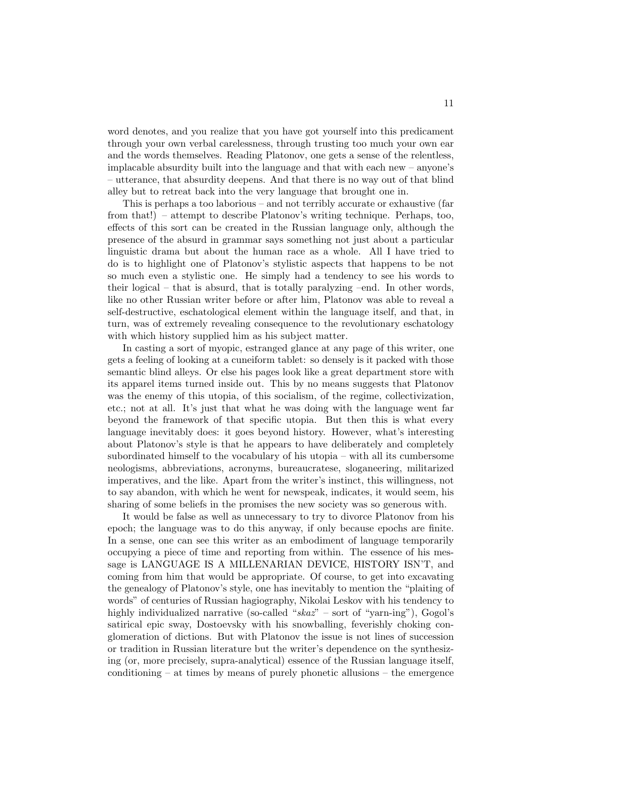word denotes, and you realize that you have got yourself into this predicament through your own verbal carelessness, through trusting too much your own ear and the words themselves. Reading Platonov, one gets a sense of the relentless, implacable absurdity built into the language and that with each new – anyone's – utterance, that absurdity deepens. And that there is no way out of that blind alley but to retreat back into the very language that brought one in.

This is perhaps a too laborious – and not terribly accurate or exhaustive (far from that!) – attempt to describe Platonov's writing technique. Perhaps, too, effects of this sort can be created in the Russian language only, although the presence of the absurd in grammar says something not just about a particular linguistic drama but about the human race as a whole. All I have tried to do is to highlight one of Platonov's stylistic aspects that happens to be not so much even a stylistic one. He simply had a tendency to see his words to their logical – that is absurd, that is totally paralyzing –end. In other words, like no other Russian writer before or after him, Platonov was able to reveal a self-destructive, eschatological element within the language itself, and that, in turn, was of extremely revealing consequence to the revolutionary eschatology with which history supplied him as his subject matter.

In casting a sort of myopic, estranged glance at any page of this writer, one gets a feeling of looking at a cuneiform tablet: so densely is it packed with those semantic blind alleys. Or else his pages look like a great department store with its apparel items turned inside out. This by no means suggests that Platonov was the enemy of this utopia, of this socialism, of the regime, collectivization, etc.; not at all. It's just that what he was doing with the language went far beyond the framework of that specific utopia. But then this is what every language inevitably does: it goes beyond history. However, what's interesting about Platonov's style is that he appears to have deliberately and completely subordinated himself to the vocabulary of his utopia – with all its cumbersome neologisms, abbreviations, acronyms, bureaucratese, sloganeering, militarized imperatives, and the like. Apart from the writer's instinct, this willingness, not to say abandon, with which he went for newspeak, indicates, it would seem, his sharing of some beliefs in the promises the new society was so generous with.

It would be false as well as unnecessary to try to divorce Platonov from his epoch; the language was to do this anyway, if only because epochs are finite. In a sense, one can see this writer as an embodiment of language temporarily occupying a piece of time and reporting from within. The essence of his message is LANGUAGE IS A MILLENARIAN DEVICE, HISTORY ISN'T, and coming from him that would be appropriate. Of course, to get into excavating the genealogy of Platonov's style, one has inevitably to mention the "plaiting of words" of centuries of Russian hagiography, Nikolai Leskov with his tendency to highly individualized narrative (so-called "skaz" – sort of "yarn-ing"), Gogol's satirical epic sway, Dostoevsky with his snowballing, feverishly choking conglomeration of dictions. But with Platonov the issue is not lines of succession or tradition in Russian literature but the writer's dependence on the synthesizing (or, more precisely, supra-analytical) essence of the Russian language itself,  $\alpha$  conditioning – at times by means of purely phonetic allusions – the emergence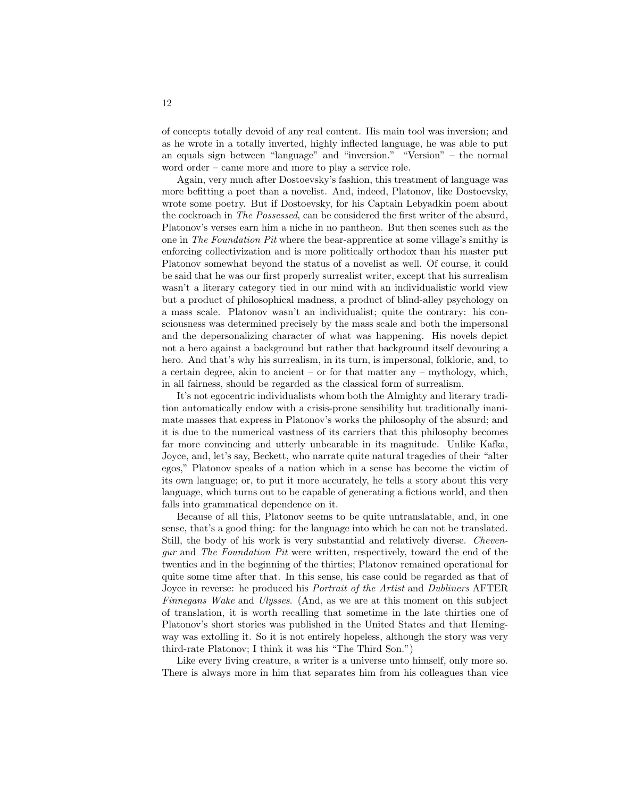of concepts totally devoid of any real content. His main tool was inversion; and as he wrote in a totally inverted, highly inflected language, he was able to put an equals sign between "language" and "inversion." "Version" – the normal word order – came more and more to play a service role.

Again, very much after Dostoevsky's fashion, this treatment of language was more befitting a poet than a novelist. And, indeed, Platonov, like Dostoevsky, wrote some poetry. But if Dostoevsky, for his Captain Lebyadkin poem about the cockroach in The Possessed, can be considered the first writer of the absurd, Platonov's verses earn him a niche in no pantheon. But then scenes such as the one in The Foundation Pit where the bear-apprentice at some village's smithy is enforcing collectivization and is more politically orthodox than his master put Platonov somewhat beyond the status of a novelist as well. Of course, it could be said that he was our first properly surrealist writer, except that his surrealism wasn't a literary category tied in our mind with an individualistic world view but a product of philosophical madness, a product of blind-alley psychology on a mass scale. Platonov wasn't an individualist; quite the contrary: his consciousness was determined precisely by the mass scale and both the impersonal and the depersonalizing character of what was happening. His novels depict not a hero against a background but rather that background itself devouring a hero. And that's why his surrealism, in its turn, is impersonal, folkloric, and, to a certain degree, akin to ancient – or for that matter any – mythology, which, in all fairness, should be regarded as the classical form of surrealism.

It's not egocentric individualists whom both the Almighty and literary tradition automatically endow with a crisis-prone sensibility but traditionally inanimate masses that express in Platonov's works the philosophy of the absurd; and it is due to the numerical vastness of its carriers that this philosophy becomes far more convincing and utterly unbearable in its magnitude. Unlike Kafka, Joyce, and, let's say, Beckett, who narrate quite natural tragedies of their "alter egos," Platonov speaks of a nation which in a sense has become the victim of its own language; or, to put it more accurately, he tells a story about this very language, which turns out to be capable of generating a fictious world, and then falls into grammatical dependence on it.

Because of all this, Platonov seems to be quite untranslatable, and, in one sense, that's a good thing: for the language into which he can not be translated. Still, the body of his work is very substantial and relatively diverse. Chevengur and The Foundation Pit were written, respectively, toward the end of the twenties and in the beginning of the thirties; Platonov remained operational for quite some time after that. In this sense, his case could be regarded as that of Joyce in reverse: he produced his Portrait of the Artist and Dubliners AFTER Finnegans Wake and Ulysses. (And, as we are at this moment on this subject of translation, it is worth recalling that sometime in the late thirties one of Platonov's short stories was published in the United States and that Hemingway was extolling it. So it is not entirely hopeless, although the story was very third-rate Platonov; I think it was his "The Third Son.")

Like every living creature, a writer is a universe unto himself, only more so. There is always more in him that separates him from his colleagues than vice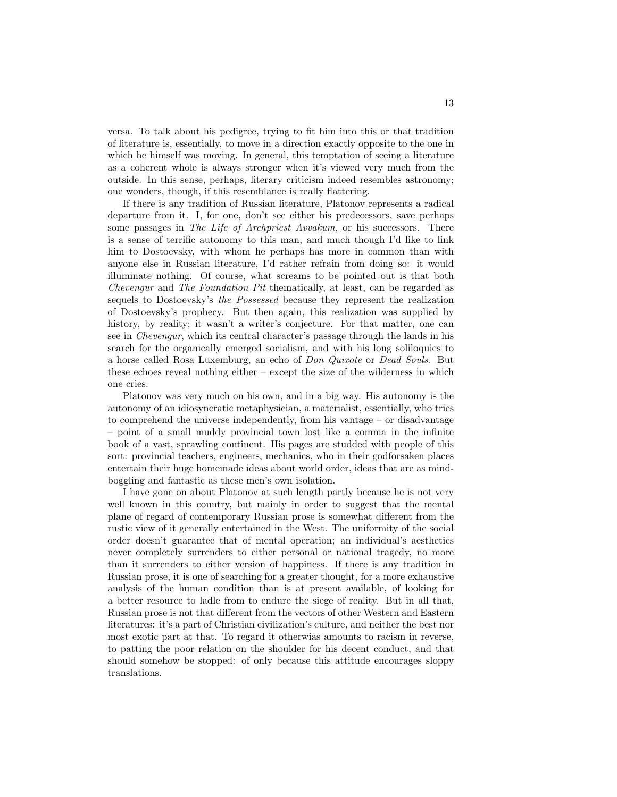versa. To talk about his pedigree, trying to fit him into this or that tradition of literature is, essentially, to move in a direction exactly opposite to the one in which he himself was moving. In general, this temptation of seeing a literature as a coherent whole is always stronger when it's viewed very much from the outside. In this sense, perhaps, literary criticism indeed resembles astronomy; one wonders, though, if this resemblance is really flattering.

If there is any tradition of Russian literature, Platonov represents a radical departure from it. I, for one, don't see either his predecessors, save perhaps some passages in The Life of Archpriest Avvakum, or his successors. There is a sense of terrific autonomy to this man, and much though I'd like to link him to Dostoevsky, with whom he perhaps has more in common than with anyone else in Russian literature, I'd rather refrain from doing so: it would illuminate nothing. Of course, what screams to be pointed out is that both Chevengur and The Foundation Pit thematically, at least, can be regarded as sequels to Dostoevsky's the Possessed because they represent the realization of Dostoevsky's prophecy. But then again, this realization was supplied by history, by reality; it wasn't a writer's conjecture. For that matter, one can see in Chevengur, which its central character's passage through the lands in his search for the organically emerged socialism, and with his long soliloquies to a horse called Rosa Luxemburg, an echo of Don Quixote or Dead Souls. But these echoes reveal nothing either – except the size of the wilderness in which one cries.

Platonov was very much on his own, and in a big way. His autonomy is the autonomy of an idiosyncratic metaphysician, a materialist, essentially, who tries to comprehend the universe independently, from his vantage – or disadvantage – point of a small muddy provincial town lost like a comma in the infinite book of a vast, sprawling continent. His pages are studded with people of this sort: provincial teachers, engineers, mechanics, who in their godforsaken places entertain their huge homemade ideas about world order, ideas that are as mindboggling and fantastic as these men's own isolation.

I have gone on about Platonov at such length partly because he is not very well known in this country, but mainly in order to suggest that the mental plane of regard of contemporary Russian prose is somewhat different from the rustic view of it generally entertained in the West. The uniformity of the social order doesn't guarantee that of mental operation; an individual's aesthetics never completely surrenders to either personal or national tragedy, no more than it surrenders to either version of happiness. If there is any tradition in Russian prose, it is one of searching for a greater thought, for a more exhaustive analysis of the human condition than is at present available, of looking for a better resource to ladle from to endure the siege of reality. But in all that, Russian prose is not that different from the vectors of other Western and Eastern literatures: it's a part of Christian civilization's culture, and neither the best nor most exotic part at that. To regard it otherwias amounts to racism in reverse, to patting the poor relation on the shoulder for his decent conduct, and that should somehow be stopped: of only because this attitude encourages sloppy translations.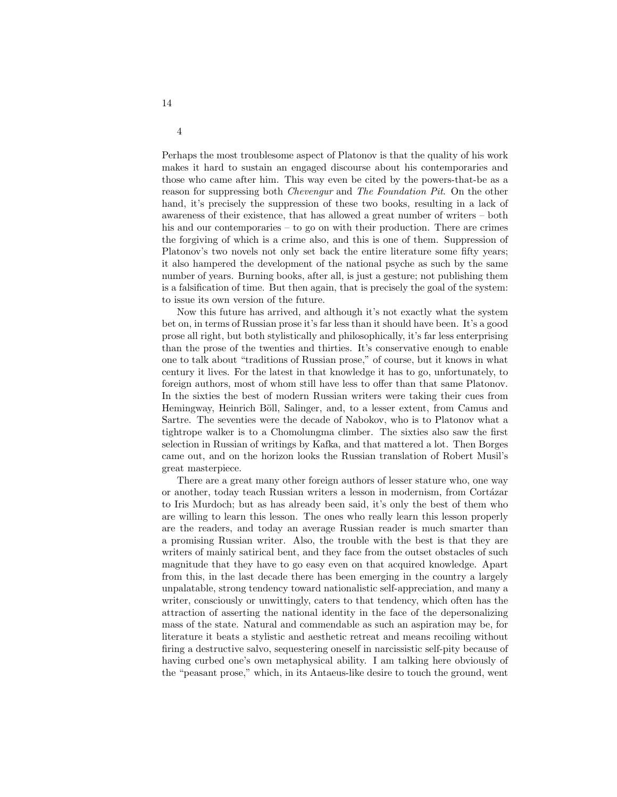Perhaps the most troublesome aspect of Platonov is that the quality of his work makes it hard to sustain an engaged discourse about his contemporaries and those who came after him. This way even be cited by the powers-that-be as a reason for suppressing both *Chevengur* and *The Foundation Pit.* On the other hand, it's precisely the suppression of these two books, resulting in a lack of awareness of their existence, that has allowed a great number of writers – both his and our contemporaries – to go on with their production. There are crimes the forgiving of which is a crime also, and this is one of them. Suppression of Platonov's two novels not only set back the entire literature some fifty years; it also hampered the development of the national psyche as such by the same number of years. Burning books, after all, is just a gesture; not publishing them is a falsification of time. But then again, that is precisely the goal of the system: to issue its own version of the future.

Now this future has arrived, and although it's not exactly what the system bet on, in terms of Russian prose it's far less than it should have been. It's a good prose all right, but both stylistically and philosophically, it's far less enterprising than the prose of the twenties and thirties. It's conservative enough to enable one to talk about "traditions of Russian prose," of course, but it knows in what century it lives. For the latest in that knowledge it has to go, unfortunately, to foreign authors, most of whom still have less to offer than that same Platonov. In the sixties the best of modern Russian writers were taking their cues from Hemingway, Heinrich Böll, Salinger, and, to a lesser extent, from Camus and Sartre. The seventies were the decade of Nabokov, who is to Platonov what a tightrope walker is to a Chomolungma climber. The sixties also saw the first selection in Russian of writings by Kafka, and that mattered a lot. Then Borges came out, and on the horizon looks the Russian translation of Robert Musil's great masterpiece.

There are a great many other foreign authors of lesser stature who, one way or another, today teach Russian writers a lesson in modernism, from Cortázar to Iris Murdoch; but as has already been said, it's only the best of them who are willing to learn this lesson. The ones who really learn this lesson properly are the readers, and today an average Russian reader is much smarter than a promising Russian writer. Also, the trouble with the best is that they are writers of mainly satirical bent, and they face from the outset obstacles of such magnitude that they have to go easy even on that acquired knowledge. Apart from this, in the last decade there has been emerging in the country a largely unpalatable, strong tendency toward nationalistic self-appreciation, and many a writer, consciously or unwittingly, caters to that tendency, which often has the attraction of asserting the national identity in the face of the depersonalizing mass of the state. Natural and commendable as such an aspiration may be, for literature it beats a stylistic and aesthetic retreat and means recoiling without firing a destructive salvo, sequestering oneself in narcissistic self-pity because of having curbed one's own metaphysical ability. I am talking here obviously of the "peasant prose," which, in its Antaeus-like desire to touch the ground, went

4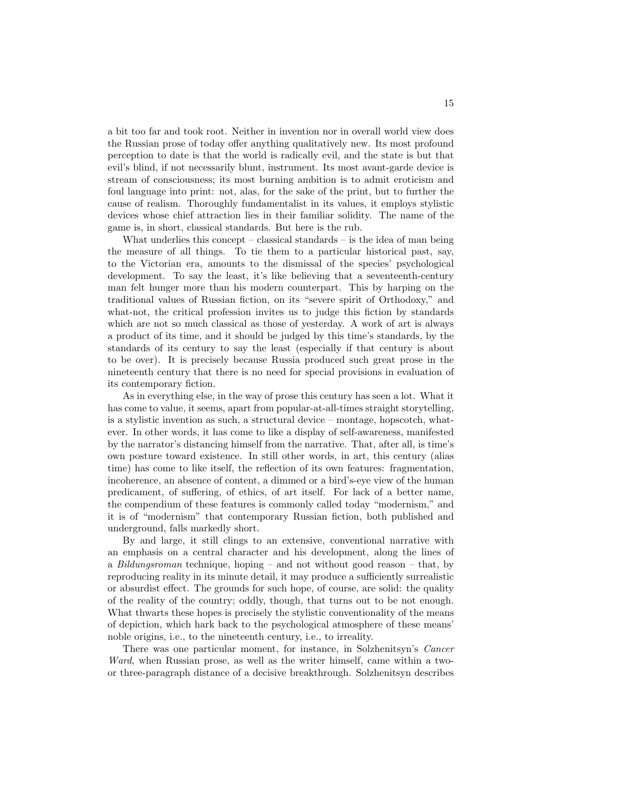a bit too far and took root. Neither in invention nor in overall world view does the Russian prose of today offer anything qualitatively new. Its most profound perception to date is that the world is radically evil, and the state is but that evil's blind, if not necessarily blunt, instrument. Its most avant-garde device is stream of consciousness; its most burning ambition is to admit eroticism and foul language into print: not, alas, for the sake of the print, but to further the cause of realism. Thoroughly fundamentalist in its values, it employs stylistic devices whose chief attraction lies in their familiar solidity. The name of the game is, in short, classical standards. But here is the rub.

What underlies this concept – classical standards – is the idea of man being the measure of all things. To tie them to a particular historical past, say, to the Victorian era, amounts to the dismissal of the species' psychological development. To say the least, it's like believing that a seventeenth-century man felt hunger more than his modern counterpart. This by harping on the traditional values of Russian fiction, on its "severe spirit of Orthodoxy," and what-not, the critical profession invites us to judge this fiction by standards which are not so much classical as those of yesterday. A work of art is always a product of its time, and it should be judged by this time's standards, by the standards of its century to say the least (especially if that century is about to be over). It is precisely because Russia produced such great prose in the nineteenth century that there is no need for special provisions in evaluation of its contemporary fiction.

As in everything else, in the way of prose this century has seen a lot. What it has come to value, it seems, apart from popular-at-all-times straight storytelling, is a stylistic invention as such, a structural device – montage, hopscotch, whatever. In other words, it has come to like a display of self-awareness, manifested by the narrator's distancing himself from the narrative. That, after all, is time's own posture toward existence. In still other words, in art, this century (alias time) has come to like itself, the reflection of its own features: fragmentation, incoherence, an absence of content, a dimmed or a bird's-eye view of the human predicament, of suffering, of ethics, of art itself. For lack of a better name, the compendium of these features is commonly called today "modernism," and it is of "modernism" that contemporary Russian fiction, both published and underground, falls markedly short.

By and large, it still clings to an extensive, conventional narrative with an emphasis on a central character and his development, along the lines of a Bildungsroman technique, hoping – and not without good reason – that, by reproducing reality in its minute detail, it may produce a sufficiently surrealistic or absurdist effect. The grounds for such hope, of course, are solid: the quality of the reality of the country; oddly, though, that turns out to be not enough. What thwarts these hopes is precisely the stylistic conventionality of the means of depiction, which hark back to the psychological atmosphere of these means' noble origins, i.e., to the nineteenth century, i.e., to irreality.

There was one particular moment, for instance, in Solzhenitsyn's Cancer Ward, when Russian prose, as well as the writer himself, came within a twoor three-paragraph distance of a decisive breakthrough. Solzhenitsyn describes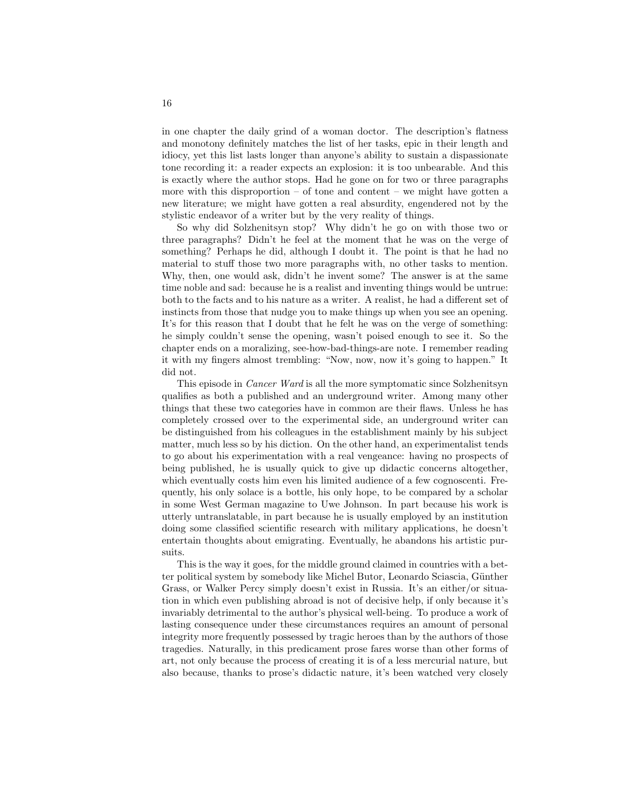in one chapter the daily grind of a woman doctor. The description's flatness and monotony definitely matches the list of her tasks, epic in their length and idiocy, yet this list lasts longer than anyone's ability to sustain a dispassionate tone recording it: a reader expects an explosion: it is too unbearable. And this is exactly where the author stops. Had he gone on for two or three paragraphs more with this disproportion – of tone and content – we might have gotten a new literature; we might have gotten a real absurdity, engendered not by the stylistic endeavor of a writer but by the very reality of things.

So why did Solzhenitsyn stop? Why didn't he go on with those two or three paragraphs? Didn't he feel at the moment that he was on the verge of something? Perhaps he did, although I doubt it. The point is that he had no material to stuff those two more paragraphs with, no other tasks to mention. Why, then, one would ask, didn't he invent some? The answer is at the same time noble and sad: because he is a realist and inventing things would be untrue: both to the facts and to his nature as a writer. A realist, he had a different set of instincts from those that nudge you to make things up when you see an opening. It's for this reason that I doubt that he felt he was on the verge of something: he simply couldn't sense the opening, wasn't poised enough to see it. So the chapter ends on a moralizing, see-how-bad-things-are note. I remember reading it with my fingers almost trembling: "Now, now, now it's going to happen." It did not.

This episode in *Cancer Ward* is all the more symptomatic since Solzhenitsyn qualifies as both a published and an underground writer. Among many other things that these two categories have in common are their flaws. Unless he has completely crossed over to the experimental side, an underground writer can be distinguished from his colleagues in the establishment mainly by his subject matter, much less so by his diction. On the other hand, an experimentalist tends to go about his experimentation with a real vengeance: having no prospects of being published, he is usually quick to give up didactic concerns altogether, which eventually costs him even his limited audience of a few cognoscenti. Frequently, his only solace is a bottle, his only hope, to be compared by a scholar in some West German magazine to Uwe Johnson. In part because his work is utterly untranslatable, in part because he is usually employed by an institution doing some classified scientific research with military applications, he doesn't entertain thoughts about emigrating. Eventually, he abandons his artistic pursuits.

This is the way it goes, for the middle ground claimed in countries with a better political system by somebody like Michel Butor, Leonardo Sciascia, Günther Grass, or Walker Percy simply doesn't exist in Russia. It's an either/or situation in which even publishing abroad is not of decisive help, if only because it's invariably detrimental to the author's physical well-being. To produce a work of lasting consequence under these circumstances requires an amount of personal integrity more frequently possessed by tragic heroes than by the authors of those tragedies. Naturally, in this predicament prose fares worse than other forms of art, not only because the process of creating it is of a less mercurial nature, but also because, thanks to prose's didactic nature, it's been watched very closely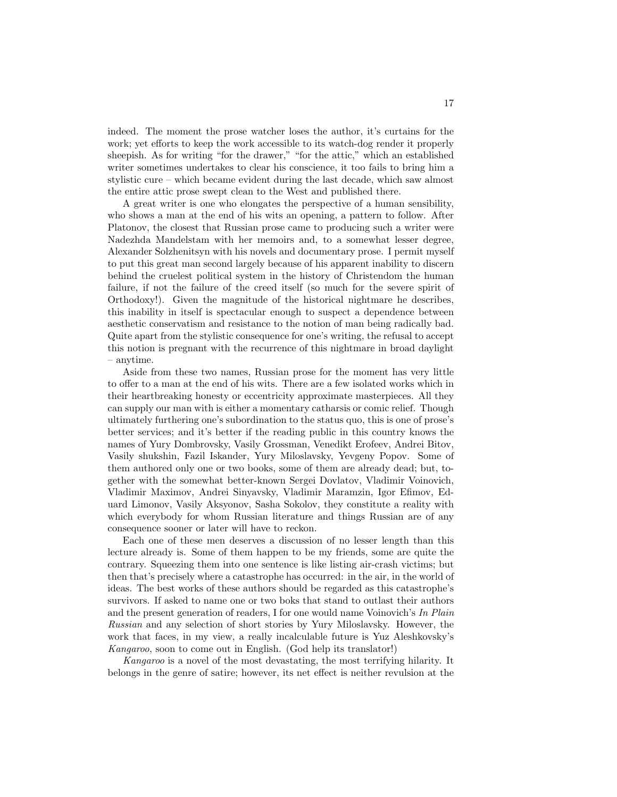indeed. The moment the prose watcher loses the author, it's curtains for the work; yet efforts to keep the work accessible to its watch-dog render it properly sheepish. As for writing "for the drawer," "for the attic," which an established writer sometimes undertakes to clear his conscience, it too fails to bring him a stylistic cure – which became evident during the last decade, which saw almost the entire attic prose swept clean to the West and published there.

A great writer is one who elongates the perspective of a human sensibility, who shows a man at the end of his wits an opening, a pattern to follow. After Platonov, the closest that Russian prose came to producing such a writer were Nadezhda Mandelstam with her memoirs and, to a somewhat lesser degree, Alexander Solzhenitsyn with his novels and documentary prose. I permit myself to put this great man second largely because of his apparent inability to discern behind the cruelest political system in the history of Christendom the human failure, if not the failure of the creed itself (so much for the severe spirit of Orthodoxy!). Given the magnitude of the historical nightmare he describes, this inability in itself is spectacular enough to suspect a dependence between aesthetic conservatism and resistance to the notion of man being radically bad. Quite apart from the stylistic consequence for one's writing, the refusal to accept this notion is pregnant with the recurrence of this nightmare in broad daylight – anytime.

Aside from these two names, Russian prose for the moment has very little to offer to a man at the end of his wits. There are a few isolated works which in their heartbreaking honesty or eccentricity approximate masterpieces. All they can supply our man with is either a momentary catharsis or comic relief. Though ultimately furthering one's subordination to the status quo, this is one of prose's better services; and it's better if the reading public in this country knows the names of Yury Dombrovsky, Vasily Grossman, Venedikt Erofeev, Andrei Bitov, Vasily shukshin, Fazil Iskander, Yury Miloslavsky, Yevgeny Popov. Some of them authored only one or two books, some of them are already dead; but, together with the somewhat better-known Sergei Dovlatov, Vladimir Voinovich, Vladimir Maximov, Andrei Sinyavsky, Vladimir Maramzin, Igor Efimov, Eduard Limonov, Vasily Aksyonov, Sasha Sokolov, they constitute a reality with which everybody for whom Russian literature and things Russian are of any consequence sooner or later will have to reckon.

Each one of these men deserves a discussion of no lesser length than this lecture already is. Some of them happen to be my friends, some are quite the contrary. Squeezing them into one sentence is like listing air-crash victims; but then that's precisely where a catastrophe has occurred: in the air, in the world of ideas. The best works of these authors should be regarded as this catastrophe's survivors. If asked to name one or two boks that stand to outlast their authors and the present generation of readers, I for one would name Voinovich's In Plain Russian and any selection of short stories by Yury Miloslavsky. However, the work that faces, in my view, a really incalculable future is Yuz Aleshkovsky's Kangaroo, soon to come out in English. (God help its translator!)

Kangaroo is a novel of the most devastating, the most terrifying hilarity. It belongs in the genre of satire; however, its net effect is neither revulsion at the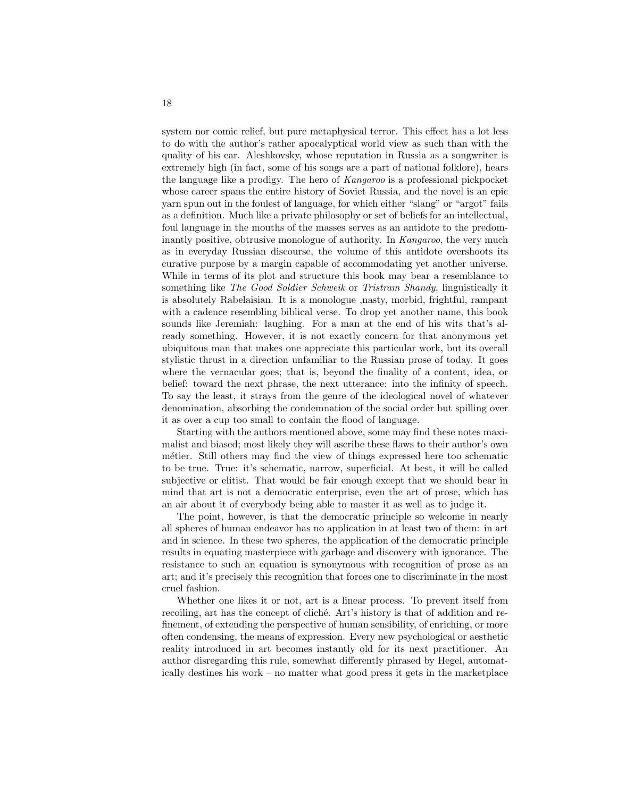system nor comic relief, but pure metaphysical terror. This effect has a lot less to do with the author's rather apocalyptical world view as such than with the quality of his ear. Aleshkovsky, whose reputation in Russia as a songwriter is extremely high (in fact, some of his songs are a part of national folklore), hears the language like a prodigy. The hero of Kangaroo is a professional pickpocket whose career spans the entire history of Soviet Russia, and the novel is an epic yarn spun out in the foulest of language, for which either "slang" or "argot" fails as a definition. Much like a private philosophy or set of beliefs for an intellectual, foul language in the mouths of the masses serves as an antidote to the predominantly positive, obtrusive monologue of authority. In Kangaroo, the very much as in everyday Russian discourse, the volume of this antidote overshoots its curative purpose by a margin capable of accommodating yet another universe. While in terms of its plot and structure this book may bear a resemblance to something like The Good Soldier Schweik or Tristram Shandy, linguistically it is absolutely Rabelaisian. It is a monologue ,nasty, morbid, frightful, rampant with a cadence resembling biblical verse. To drop yet another name, this book sounds like Jeremiah: laughing. For a man at the end of his wits that's already something. However, it is not exactly concern for that anonymous yet ubiquitous man that makes one appreciate this particular work, but its overall stylistic thrust in a direction unfamiliar to the Russian prose of today. It goes where the vernacular goes; that is, beyond the finality of a content, idea, or belief: toward the next phrase, the next utterance: into the infinity of speech. To say the least, it strays from the genre of the ideological novel of whatever denomination, absorbing the condemnation of the social order but spilling over it as over a cup too small to contain the flood of language.

Starting with the authors mentioned above, some may find these notes maximalist and biased; most likely they will ascribe these flaws to their author's own mettier. Still others may find the view of things expressed here too schematic to be true. True: it's schematic, narrow, superficial. At best, it will be called subjective or elitist. That would be fair enough except that we should bear in mind that art is not a democratic enterprise, even the art of prose, which has an air about it of everybody being able to master it as well as to judge it.

The point, however, is that the democratic principle so welcome in nearly all spheres of human endeavor has no application in at least two of them: in art and in science. In these two spheres, the application of the democratic principle results in equating masterpiece with garbage and discovery with ignorance. The resistance to such an equation is synonymous with recognition of prose as an art; and it's precisely this recognition that forces one to discriminate in the most cruel fashion.

Whether one likes it or not, art is a linear process. To prevent itself from recoiling, art has the concept of cliché. Art's history is that of addition and refinement, of extending the perspective of human sensibility, of enriching, or more often condensing, the means of expression. Every new psychological or aesthetic reality introduced in art becomes instantly old for its next practitioner. An author disregarding this rule, somewhat differently phrased by Hegel, automatically destines his work – no matter what good press it gets in the marketplace